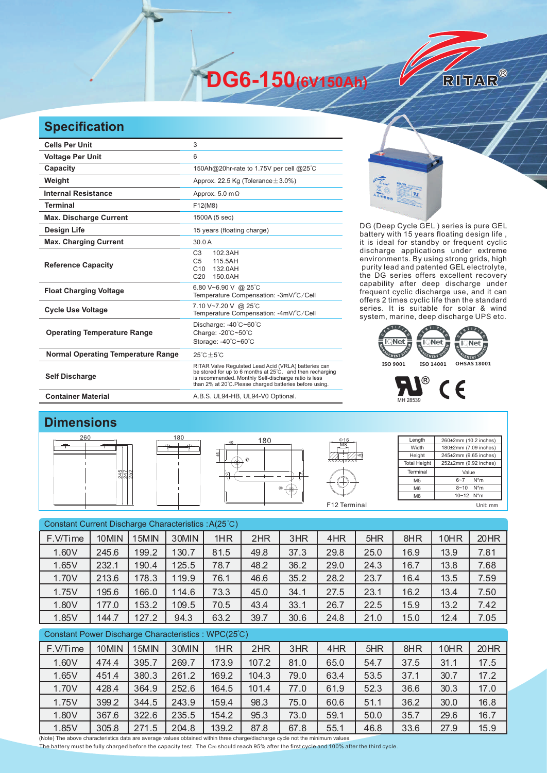**DG6-150(6V150Ah)** 

## **Specification**

| <b>Cells Per Unit</b>                     | 3                                                                                                                                                                                                                                    |  |  |  |  |  |
|-------------------------------------------|--------------------------------------------------------------------------------------------------------------------------------------------------------------------------------------------------------------------------------------|--|--|--|--|--|
| <b>Voltage Per Unit</b>                   | 6                                                                                                                                                                                                                                    |  |  |  |  |  |
| Capacity                                  |                                                                                                                                                                                                                                      |  |  |  |  |  |
|                                           | 150Ah@20hr-rate to 1.75V per cell @25°C                                                                                                                                                                                              |  |  |  |  |  |
| Weight                                    | Approx. 22.5 Kg (Tolerance $\pm$ 3.0%)                                                                                                                                                                                               |  |  |  |  |  |
| <b>Internal Resistance</b>                | Approx. $5.0 \text{ m}\Omega$                                                                                                                                                                                                        |  |  |  |  |  |
| <b>Terminal</b>                           | F12(M8)                                                                                                                                                                                                                              |  |  |  |  |  |
| <b>Max. Discharge Current</b>             | 1500A (5 sec)                                                                                                                                                                                                                        |  |  |  |  |  |
| <b>Design Life</b>                        | 15 years (floating charge)                                                                                                                                                                                                           |  |  |  |  |  |
| <b>Max. Charging Current</b>              | 30.0A                                                                                                                                                                                                                                |  |  |  |  |  |
| <b>Reference Capacity</b>                 | 102.3AH<br>C <sub>3</sub><br>C <sub>5</sub><br>115.5AH<br>C10<br>132.0AH<br>C <sub>20</sub><br>150.0AH                                                                                                                               |  |  |  |  |  |
| <b>Float Charging Voltage</b>             | 6.80 V~6.90 V @ 25°C<br>Temperature Compensation: -3mV/°C/Cell                                                                                                                                                                       |  |  |  |  |  |
| <b>Cycle Use Voltage</b>                  | 7.10 V~7.20 V @ 25°C<br>Temperature Compensation: -4mV/°C/Cell                                                                                                                                                                       |  |  |  |  |  |
| <b>Operating Temperature Range</b>        | Discharge: -40°C~60°C<br>Charge: -20°C~50°C<br>Storage: -40°C~60°C                                                                                                                                                                   |  |  |  |  |  |
| <b>Normal Operating Temperature Range</b> | $25^{\circ}$ C + 5 $^{\circ}$ C                                                                                                                                                                                                      |  |  |  |  |  |
| <b>Self Discharge</b>                     | RITAR Valve Regulated Lead Acid (VRLA) batteries can<br>be stored for up to 6 months at 25°C, and then recharging<br>is recommended. Monthly Self-discharge ratio is less<br>than 2% at 20°C. Please charged batteries before using. |  |  |  |  |  |
| <b>Container Material</b>                 | A.B.S. UL94-HB, UL94-V0 Optional.                                                                                                                                                                                                    |  |  |  |  |  |



DG (Deep Cycle GEL) series is pure GEL battery with 15 years floating design life, it is ideal for standby or frequent cyclic discharge applications under extreme environments. By using strong grids, high purity lead and patented GEL electrolyte, the DG series offers excellent recovery capability after deep discharge under frequent cyclic discharge use, and it can offers 2 times cyclic life than the standard series. It is suitable for solar & wind system, marine, deep discharge UPS etc.

RITAR®





## **Dimensions**



| Constant Current Discharge Characteristics: A(25°C) |       |       |       |       |       |      |      |      |      |      |      |
|-----------------------------------------------------|-------|-------|-------|-------|-------|------|------|------|------|------|------|
| F.V/Time                                            | 10MIN | 15MIN | 30MIN | 1HR   | 2HR   | 3HR  | 4HR  | 5HR  | 8HR  | 10HR | 20HR |
| 1.60V                                               | 245.6 | 199.2 | 130.7 | 81.5  | 49.8  | 37.3 | 29.8 | 25.0 | 16.9 | 13.9 | 7.81 |
| 1.65V                                               | 232.1 | 190.4 | 125.5 | 78.7  | 48.2  | 36.2 | 29.0 | 24.3 | 16.7 | 13.8 | 7.68 |
| 1.70V                                               | 213.6 | 178.3 | 119.9 | 76.1  | 46.6  | 35.2 | 28.2 | 23.7 | 16.4 | 13.5 | 7.59 |
| 1.75V                                               | 195.6 | 166.0 | 114.6 | 73.3  | 45.0  | 34.1 | 27.5 | 23.1 | 16.2 | 13.4 | 7.50 |
| 1.80V                                               | 177.0 | 153.2 | 109.5 | 70.5  | 43.4  | 33.1 | 26.7 | 22.5 | 15.9 | 13.2 | 7.42 |
| 1.85V                                               | 144.7 | 127.2 | 94.3  | 63.2  | 39.7  | 30.6 | 24.8 | 21.0 | 15.0 | 12.4 | 7.05 |
| Constant Power Discharge Characteristics: WPC(25°C) |       |       |       |       |       |      |      |      |      |      |      |
| F.V/Time                                            | 10MIN | 15MIN | 30MIN | 1HR   | 2HR   | 3HR  | 4HR  | 5HR  | 8HR  | 10HR | 20HR |
| 1.60V                                               | 474.4 | 395.7 | 269.7 | 173.9 | 107.2 | 81.0 | 65.0 | 54.7 | 37.5 | 31.1 | 17.5 |
| 1.65V                                               | 451.4 | 380.3 | 261.2 | 169.2 | 104.3 | 79.0 | 63.4 | 53.5 | 37.1 | 30.7 | 17.2 |

(Note) The above characteristics data are average values obtained within three charge/discharge cycle not the minimum values. 1.70V 428.4 364.9 252.6 164.5 101.4 77.0 61.9 52.3 36.6 30.3 17.0 1.75V 399.2 344.5 243.9 159.4 98.3 75.0 60.6 51.1 36.2 30.0 16.8 1.80V 367.6 322.6 235.5 154.2 95.3 73.0 59.1 50.0 35.7 29.6 16.7 1.85V | 305.8 | 271.5 | 204.8 | 139.2 | 87.8 | 67.8 | 55.1 | 46.8 | 33.6 | 27.9 | 15.9

The battery must be fully charged before the capacity test. The C20 should reach 95% after the first cycle and 100% after the third cycle.